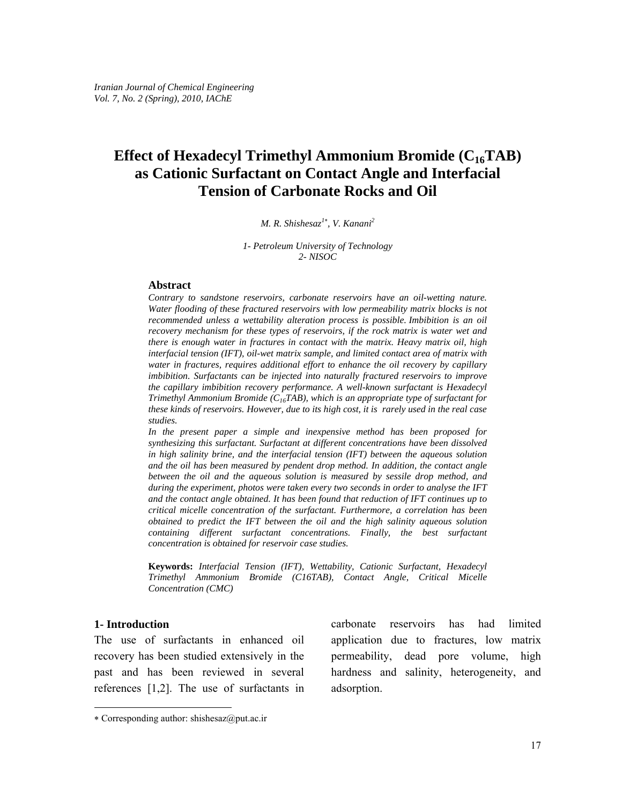# **Effect of Hexadecyl Trimethyl Ammonium Bromide (C16TAB) as Cationic Surfactant on Contact Angle and Interfacial Tension of Carbonate Rocks and Oil**

#### *M. R. Shishesaz<sup>1</sup>*<sup>∗</sup> *, V. Kanani2*

*1- Petroleum University of Technology 2- NISOC* 

#### **Abstract**

*Contrary to sandstone reservoirs, carbonate reservoirs have an oil-wetting nature. Water flooding of these fractured reservoirs with low permeability matrix blocks is not recommended unless a wettability alteration process is possible. Imbibition is an oil recovery mechanism for these types of reservoirs, if the rock matrix is water wet and there is enough water in fractures in contact with the matrix. Heavy matrix oil, high interfacial tension (IFT), oil-wet matrix sample, and limited contact area of matrix with water in fractures, requires additional effort to enhance the oil recovery by capillary imbibition. Surfactants can be injected into naturally fractured reservoirs to improve the capillary imbibition recovery performance. A well-known surfactant is Hexadecyl Trimethyl Ammonium Bromide (C16TAB), which is an appropriate type of surfactant for these kinds of reservoirs. However, due to its high cost, it is rarely used in the real case studies.*

*In the present paper a simple and inexpensive method has been proposed for synthesizing this surfactant. Surfactant at different concentrations have been dissolved in high salinity brine, and the interfacial tension (IFT) between the aqueous solution and the oil has been measured by pendent drop method. In addition, the contact angle between the oil and the aqueous solution is measured by sessile drop method, and during the experiment, photos were taken every two seconds in order to analyse the IFT and the contact angle obtained. It has been found that reduction of IFT continues up to critical micelle concentration of the surfactant. Furthermore, a correlation has been obtained to predict the IFT between the oil and the high salinity aqueous solution containing different surfactant concentrations. Finally, the best surfactant concentration is obtained for reservoir case studies.* 

**Keywords:** *Interfacial Tension (IFT), Wettability, Cationic Surfactant, Hexadecyl Trimethyl Ammonium Bromide (C16TAB), Contact Angle, Critical Micelle Concentration (CMC)* 

### **1- Introduction**

l

The use of surfactants in enhanced oil recovery has been studied extensively in the past and has been reviewed in several references [1,2]. The use of surfactants in carbonate reservoirs has had limited application due to fractures, low matrix permeability, dead pore volume, high hardness and salinity, heterogeneity, and adsorption.

<sup>∗</sup> Corresponding author: shishesaz@put.ac.ir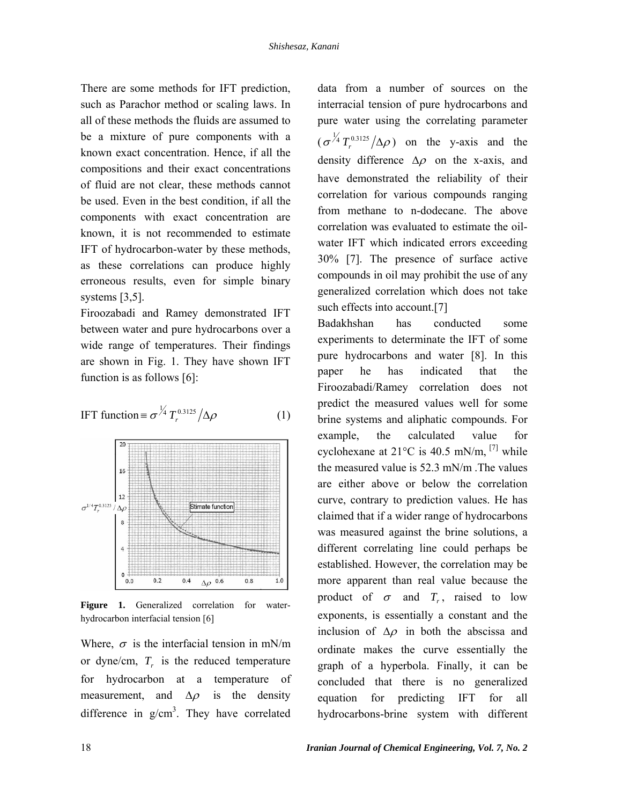There are some methods for IFT prediction, such as Parachor method or scaling laws. In all of these methods the fluids are assumed to be a mixture of pure components with a known exact concentration. Hence, if all the compositions and their exact concentrations of fluid are not clear, these methods cannot be used. Even in the best condition, if all the components with exact concentration are known, it is not recommended to estimate IFT of hydrocarbon-water by these methods, as these correlations can produce highly erroneous results, even for simple binary systems [3,5].

Firoozabadi and Ramey demonstrated IFT between water and pure hydrocarbons over a wide range of temperatures. Their findings are shown in Fig. 1. They have shown IFT function is as follows [6]:

$$
\text{IFT function} \equiv \sigma \frac{\gamma_4}{r} T_r^{0.3125} / \Delta \rho \tag{1}
$$



**Figure 1.** Generalized correlation for waterhydrocarbon interfacial tension [6]

Where,  $\sigma$  is the interfacial tension in mN/m or dyne/cm,  $T<sub>r</sub>$  is the reduced temperature for hydrocarbon at a temperature of measurement, and  $\Delta \rho$  is the density difference in  $g/cm<sup>3</sup>$ . They have correlated data from a number of sources on the interracial tension of pure hydrocarbons and pure water using the correlating parameter  $(\sigma^{\frac{1}{4}}T_r^{0.3125}/\Delta\rho)$  on the y-axis and the density difference  $\Delta \rho$  on the x-axis, and have demonstrated the reliability of their correlation for various compounds ranging from methane to n-dodecane. The above correlation was evaluated to estimate the oilwater IFT which indicated errors exceeding 30% [7]. The presence of surface active compounds in oil may prohibit the use of any generalized correlation which does not take such effects into account.<sup>[7]</sup>

Badakhshan has conducted some experiments to determinate the IFT of some pure hydrocarbons and water [8]. In this paper he has indicated that the Firoozabadi/Ramey correlation does not predict the measured values well for some brine systems and aliphatic compounds. For example, the calculated value for cyclohexane at  $21^{\circ}$ C is 40.5 mN/m, <sup>[7]</sup> while the measured value is 52.3 mN/m .The values are either above or below the correlation curve, contrary to prediction values. He has claimed that if a wider range of hydrocarbons was measured against the brine solutions, a different correlating line could perhaps be established. However, the correlation may be more apparent than real value because the product of  $\sigma$  and  $T_r$ , raised to low exponents, is essentially a constant and the inclusion of  $\Delta \rho$  in both the abscissa and ordinate makes the curve essentially the graph of a hyperbola. Finally, it can be concluded that there is no generalized equation for predicting IFT for all hydrocarbons-brine system with different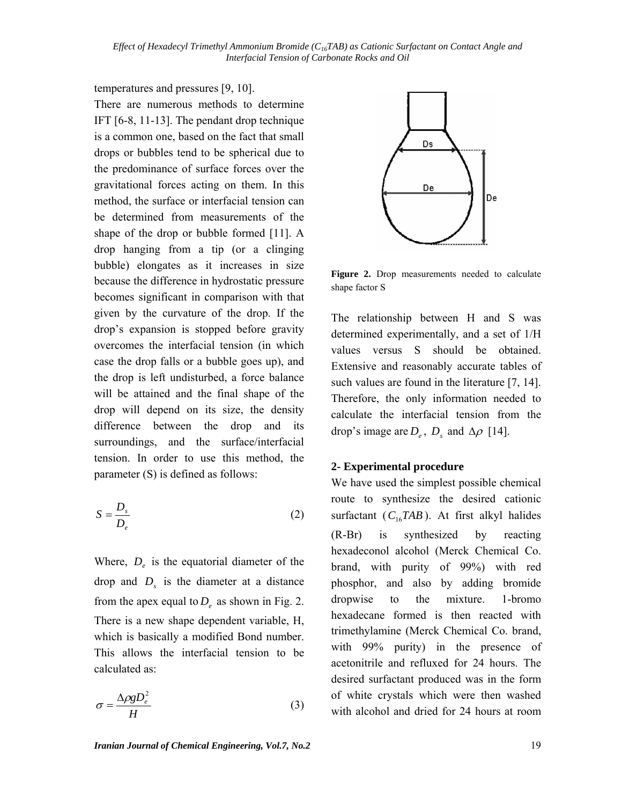temperatures and pressures [9, 10]. There are numerous methods to determine IFT [6-8, 11-13]. The pendant drop technique is a common one, based on the fact that small drops or bubbles tend to be spherical due to the predominance of surface forces over the gravitational forces acting on them. In this method, the surface or interfacial tension can be determined from measurements of the shape of the drop or bubble formed [11]. A drop hanging from a tip (or a clinging bubble) elongates as it increases in size because the difference in hydrostatic pressure becomes significant in comparison with that given by the curvature of the drop. If the drop's expansion is stopped before gravity overcomes the interfacial tension (in which case the drop falls or a bubble goes up), and the drop is left undisturbed, a force balance will be attained and the final shape of the drop will depend on its size, the density difference between the drop and its surroundings, and the surface/interfacial tension. In order to use this method, the parameter (S) is defined as follows:

$$
S = \frac{D_s}{D_e} \tag{2}
$$

Where,  $D_e$  is the equatorial diameter of the drop and  $D<sub>s</sub>$  is the diameter at a distance from the apex equal to  $D_e$  as shown in Fig. 2. There is a new shape dependent variable, H, which is basically a modified Bond number. This allows the interfacial tension to be calculated as:

$$
\sigma = \frac{\Delta \rho g D_e^2}{H} \tag{3}
$$



**Figure 2.** Drop measurements needed to calculate shape factor S

The relationship between H and S was determined experimentally, and a set of 1/H values versus S should be obtained. Extensive and reasonably accurate tables of such values are found in the literature [7, 14]. Therefore, the only information needed to calculate the interfacial tension from the drop's image are  $D_e$ ,  $D_s$  and  $\Delta \rho$  [14].

# **2- Experimental procedure**

We have used the simplest possible chemical route to synthesize the desired cationic surfactant  $(C_{16}TAB)$ . At first alkyl halides (R-Br) is synthesized by reacting hexadeconol alcohol (Merck Chemical Co. brand, with purity of 99%) with red phosphor, and also by adding bromide dropwise to the mixture. 1-bromo hexadecane formed is then reacted with trimethylamine (Merck Chemical Co. brand, with 99% purity) in the presence of acetonitrile and refluxed for 24 hours. The desired surfactant produced was in the form of white crystals which were then washed with alcohol and dried for 24 hours at room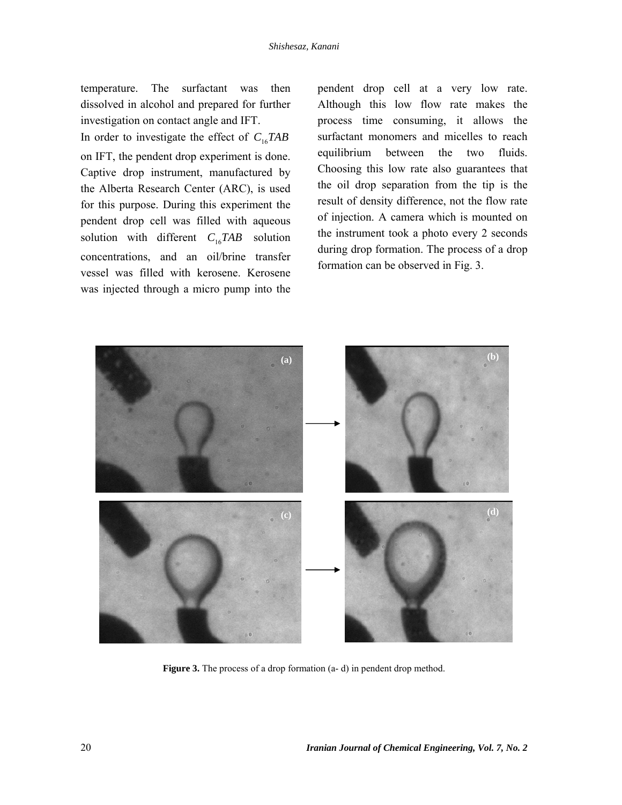temperature. The surfactant was then dissolved in alcohol and prepared for further investigation on contact angle and IFT. In order to investigate the effect of  $C_{16}TAB$ on IFT, the pendent drop experiment is done. Captive drop instrument, manufactured by the Alberta Research Center (ARC), is used for this purpose. During this experiment the pendent drop cell was filled with aqueous solution with different  $C_{16}TAB$  solution concentrations, and an oil/brine transfer vessel was filled with kerosene. Kerosene was injected through a micro pump into the pendent drop cell at a very low rate. Although this low flow rate makes the process time consuming, it allows the surfactant monomers and micelles to reach equilibrium between the two fluids. Choosing this low rate also guarantees that the oil drop separation from the tip is the result of density difference, not the flow rate of injection. A camera which is mounted on the instrument took a photo every 2 seconds during drop formation. The process of a drop formation can be observed in Fig. 3.



**Figure 3.** The process of a drop formation (a-d) in pendent drop method.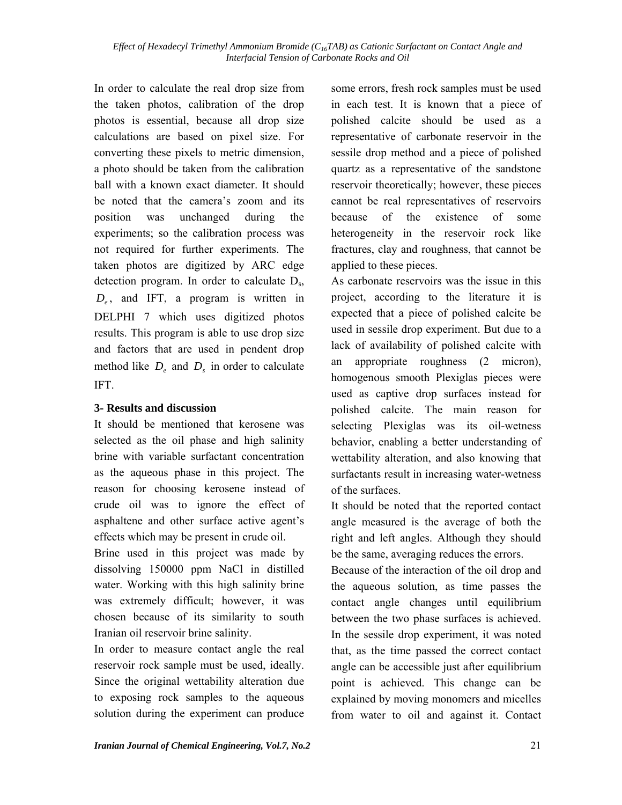In order to calculate the real drop size from the taken photos, calibration of the drop photos is essential, because all drop size calculations are based on pixel size. For converting these pixels to metric dimension, a photo should be taken from the calibration ball with a known exact diameter. It should be noted that the camera's zoom and its position was unchanged during the experiments; so the calibration process was not required for further experiments. The taken photos are digitized by ARC edge detection program. In order to calculate Ds, *De* , and IFT, a program is written in DELPHI 7 which uses digitized photos results. This program is able to use drop size and factors that are used in pendent drop method like  $D_e$  and  $D_s$  in order to calculate IFT.

# **3- Results and discussion**

It should be mentioned that kerosene was selected as the oil phase and high salinity brine with variable surfactant concentration as the aqueous phase in this project. The reason for choosing kerosene instead of crude oil was to ignore the effect of asphaltene and other surface active agent's effects which may be present in crude oil.

Brine used in this project was made by dissolving 150000 ppm NaCl in distilled water. Working with this high salinity brine was extremely difficult; however, it was chosen because of its similarity to south Iranian oil reservoir brine salinity.

In order to measure contact angle the real reservoir rock sample must be used, ideally. Since the original wettability alteration due to exposing rock samples to the aqueous solution during the experiment can produce some errors, fresh rock samples must be used in each test. It is known that a piece of polished calcite should be used as a representative of carbonate reservoir in the sessile drop method and a piece of polished quartz as a representative of the sandstone reservoir theoretically; however, these pieces cannot be real representatives of reservoirs because of the existence of some heterogeneity in the reservoir rock like fractures, clay and roughness, that cannot be applied to these pieces.

As carbonate reservoirs was the issue in this project, according to the literature it is expected that a piece of polished calcite be used in sessile drop experiment. But due to a lack of availability of polished calcite with an appropriate roughness (2 micron), homogenous smooth Plexiglas pieces were used as captive drop surfaces instead for polished calcite. The main reason for selecting Plexiglas was its oil-wetness behavior, enabling a better understanding of wettability alteration, and also knowing that surfactants result in increasing water-wetness of the surfaces.

It should be noted that the reported contact angle measured is the average of both the right and left angles. Although they should be the same, averaging reduces the errors.

Because of the interaction of the oil drop and the aqueous solution, as time passes the contact angle changes until equilibrium between the two phase surfaces is achieved. In the sessile drop experiment, it was noted that, as the time passed the correct contact angle can be accessible just after equilibrium point is achieved. This change can be explained by moving monomers and micelles from water to oil and against it. Contact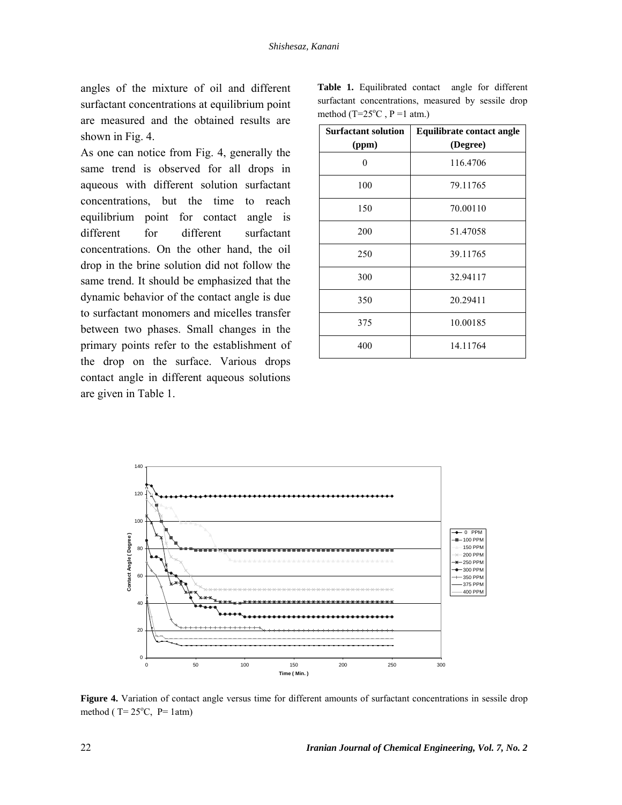angles of the mixture of oil and different surfactant concentrations at equilibrium point are measured and the obtained results are shown in Fig. 4.

As one can notice from Fig. 4, generally the same trend is observed for all drops in aqueous with different solution surfactant concentrations, but the time to reach equilibrium point for contact angle is different for different surfactant concentrations. On the other hand, the oil drop in the brine solution did not follow the same trend. It should be emphasized that the dynamic behavior of the contact angle is due to surfactant monomers and micelles transfer between two phases. Small changes in the primary points refer to the establishment of the drop on the surface. Various drops contact angle in different aqueous solutions are given in Table 1.

|  | <b>Table 1.</b> Equilibrated contact angle for different |  |  |  |  |
|--|----------------------------------------------------------|--|--|--|--|
|  | surfactant concentrations, measured by sessile drop      |  |  |  |  |
|  | method $(T=25^{\circ}C, P=1$ atm.)                       |  |  |  |  |

| <b>Surfactant solution</b> | <b>Equilibrate contact angle</b> |  |  |
|----------------------------|----------------------------------|--|--|
| (ppm)                      | (Degree)                         |  |  |
| $\theta$                   | 116.4706                         |  |  |
| 100                        | 79.11765                         |  |  |
| 150                        | 70.00110                         |  |  |
| 200                        | 51.47058                         |  |  |
| 250                        | 39.11765                         |  |  |
| 300                        | 32.94117                         |  |  |
| 350                        | 20.29411                         |  |  |
| 375                        | 10.00185                         |  |  |
| 400                        | 14.11764                         |  |  |



**Figure 4.** Variation of contact angle versus time for different amounts of surfactant concentrations in sessile drop method ( $T = 25^{\circ}C$ ,  $P = 1$ atm)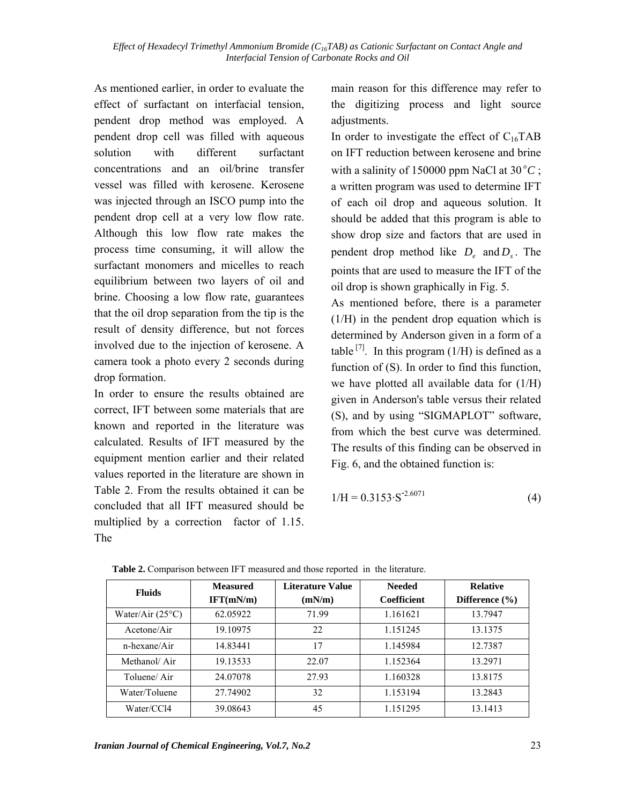As mentioned earlier, in order to evaluate the effect of surfactant on interfacial tension, pendent drop method was employed. A pendent drop cell was filled with aqueous solution with different surfactant concentrations and an oil/brine transfer vessel was filled with kerosene. Kerosene was injected through an ISCO pump into the pendent drop cell at a very low flow rate. Although this low flow rate makes the process time consuming, it will allow the surfactant monomers and micelles to reach equilibrium between two layers of oil and brine. Choosing a low flow rate, guarantees that the oil drop separation from the tip is the result of density difference, but not forces involved due to the injection of kerosene. A camera took a photo every 2 seconds during drop formation.

In order to ensure the results obtained are correct, IFT between some materials that are known and reported in the literature was calculated. Results of IFT measured by the equipment mention earlier and their related values reported in the literature are shown in Table 2. From the results obtained it can be concluded that all IFT measured should be multiplied by a correction factor of 1.15. The

main reason for this difference may refer to the digitizing process and light source adjustments.

In order to investigate the effect of  $C_{16}TAB$ on IFT reduction between kerosene and brine with a salinity of 150000 ppm NaCl at  $30^{\circ}$ C; a written program was used to determine IFT of each oil drop and aqueous solution. It should be added that this program is able to show drop size and factors that are used in pendent drop method like  $D<sub>e</sub>$  and  $D<sub>s</sub>$ . The points that are used to measure the IFT of the oil drop is shown graphically in Fig. 5.

As mentioned before, there is a parameter (1/H) in the pendent drop equation which is determined by Anderson given in a form of a table  $^{[7]}$ . In this program (1/H) is defined as a function of (S). In order to find this function, we have plotted all available data for (1/H) given in Anderson's table versus their related (S), and by using "SIGMAPLOT" software, from which the best curve was determined. The results of this finding can be observed in Fig. 6, and the obtained function is:

$$
1/H = 0.3153 \cdot S^{-2.6071}
$$
 (4)

| <b>Fluids</b>             | <b>Measured</b><br>IFT(mN/m) | Literature Value<br>(mN/m) | <b>Needed</b><br>Coefficient | <b>Relative</b><br>Difference $(\% )$ |  |
|---------------------------|------------------------------|----------------------------|------------------------------|---------------------------------------|--|
| Water/Air $(25^{\circ}C)$ | 62.05922                     | 71.99                      | 1.161621                     | 13.7947                               |  |
| Acetone/Air               | 19.10975                     | 22                         | 1.151245                     | 13.1375                               |  |
| n-hexane/Air              | 14.83441                     | 17                         | 1.145984                     | 12.7387                               |  |
| Methanol/Air              | 19.13533                     | 22.07                      | 1.152364                     | 13.2971                               |  |
| Toluene/Air               | 24.07078                     | 27.93                      | 1.160328                     | 13.8175                               |  |
| Water/Toluene             | 27.74902                     | 32                         | 1.153194                     | 13.2843                               |  |
| Water/CCl4                | 39.08643                     | 45                         | 1.151295                     | 13.1413                               |  |

**Table 2.** Comparison between IFT measured and those reported in the literature.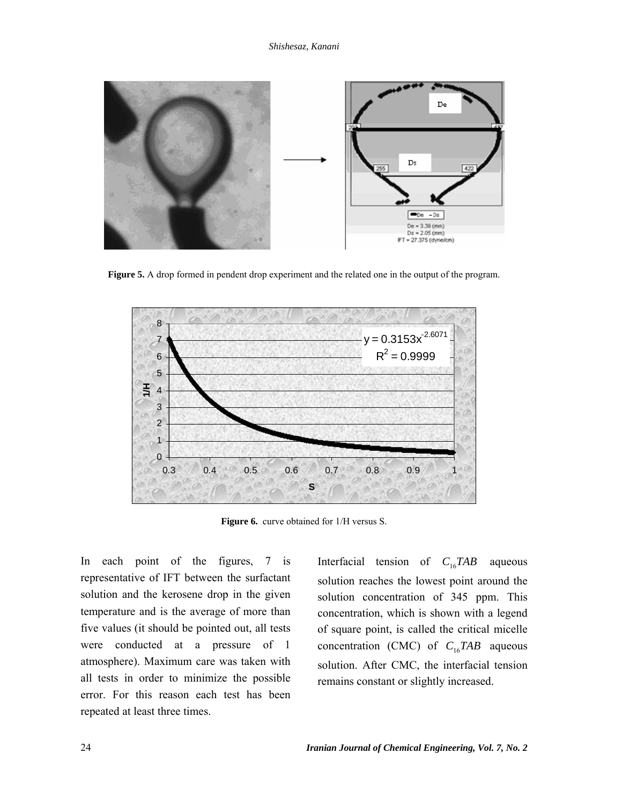

**Figure 5.** A drop formed in pendent drop experiment and the related one in the output of the program.



**Figure 6.** curve obtained for 1/H versus S.

In each point of the figures, 7 is representative of IFT between the surfactant solution and the kerosene drop in the given temperature and is the average of more than five values (it should be pointed out, all tests were conducted at a pressure of 1 atmosphere). Maximum care was taken with all tests in order to minimize the possible error. For this reason each test has been repeated at least three times.

Interfacial tension of *C*16*TAB* aqueous solution reaches the lowest point around the solution concentration of 345 ppm. This concentration, which is shown with a legend of square point, is called the critical micelle concentration (CMC) of  $C_{16}TAB$  aqueous solution. After CMC, the interfacial tension remains constant or slightly increased.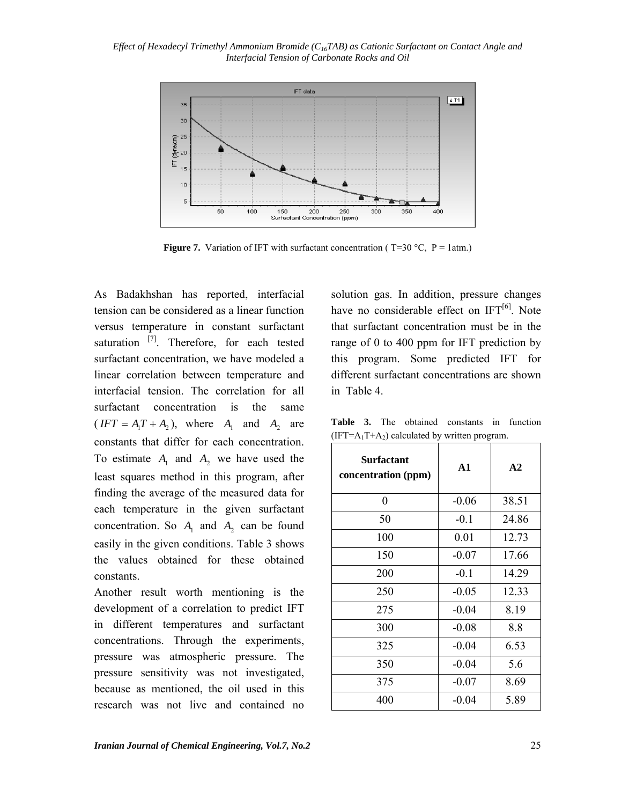

**Figure 7.** Variation of IFT with surfactant concentration ( $T=30$  °C,  $P=1$ atm.)

As Badakhshan has reported, interfacial tension can be considered as a linear function versus temperature in constant surfactant saturation  $^{[7]}$ . Therefore, for each tested surfactant concentration, we have modeled a linear correlation between temperature and interfacial tension. The correlation for all surfactant concentration is the same  $(IFT = A_1T + A_2)$ , where  $A_1$  and  $A_2$  are constants that differ for each concentration. To estimate  $A_1$  and  $A_2$  we have used the least squares method in this program, after finding the average of the measured data for each temperature in the given surfactant concentration. So  $A_1$  and  $A_2$  can be found easily in the given conditions. Table 3 shows the values obtained for these obtained constants.

Another result worth mentioning is the development of a correlation to predict IFT in different temperatures and surfactant concentrations. Through the experiments, pressure was atmospheric pressure. The pressure sensitivity was not investigated, because as mentioned, the oil used in this research was not live and contained no

solution gas. In addition, pressure changes have no considerable effect on  $IFT<sup>[6]</sup>$ . Note that surfactant concentration must be in the range of 0 to 400 ppm for IFT prediction by this program. Some predicted IFT for different surfactant concentrations are shown in Table 4.

**Table 3.** The obtained constants in function  $(IFT=A_1T+A_2)$  calculated by written program.

| <b>Surfactant</b><br>concentration (ppm) | $\mathbf{A1}$ | A <sub>2</sub> |
|------------------------------------------|---------------|----------------|
| 0                                        | $-0.06$       | 38.51          |
| 50                                       | $-0.1$        | 24.86          |
| 100                                      | 0.01          | 12.73          |
| 150                                      | $-0.07$       | 17.66          |
| 200                                      | $-0.1$        | 14.29          |
| 250                                      | $-0.05$       | 12.33          |
| 275                                      | $-0.04$       | 8.19           |
| 300                                      | $-0.08$       | 8.8            |
| 325                                      | $-0.04$       | 6.53           |
| 350                                      | $-0.04$       | 5.6            |
| 375                                      | $-0.07$       | 8.69           |
| 400                                      | $-0.04$       | 5.89           |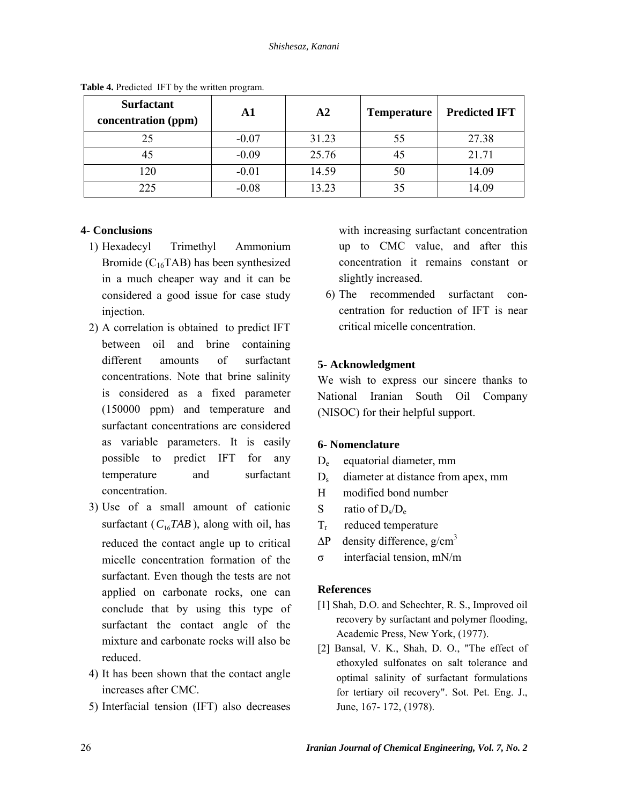| <b>Surfactant</b><br>concentration (ppm) | A1      | A2    | <b>Temperature</b> | <b>Predicted IFT</b> |  |
|------------------------------------------|---------|-------|--------------------|----------------------|--|
| 25                                       | $-0.07$ | 31.23 | 55                 | 27.38                |  |
| 45                                       | $-0.09$ | 25.76 |                    | 21.71                |  |
| 120                                      | $-0.01$ | 14.59 | 50                 | 14.09                |  |
| 225                                      | $-0.08$ | 13.23 |                    | 14.09                |  |

**Table 4.** Predicted IFT by the written program.

# **4- Conclusions**

- 1) Hexadecyl Trimethyl Ammonium Bromide ( $C_{16}TAB$ ) has been synthesized in a much cheaper way and it can be considered a good issue for case study injection.
- 2) A correlation is obtained to predict IFT between oil and brine containing different amounts of surfactant concentrations. Note that brine salinity is considered as a fixed parameter (150000 ppm) and temperature and surfactant concentrations are considered as variable parameters. It is easily possible to predict IFT for any temperature and surfactant concentration.
- 3) Use of a small amount of cationic surfactant ( $C_{16}TAB$ ), along with oil, has reduced the contact angle up to critical micelle concentration formation of the surfactant. Even though the tests are not applied on carbonate rocks, one can conclude that by using this type of surfactant the contact angle of the mixture and carbonate rocks will also be reduced.
- 4) It has been shown that the contact angle increases after CMC.
- 5) Interfacial tension (IFT) also decreases

with increasing surfactant concentration up to CMC value, and after this concentration it remains constant or slightly increased.

6) The recommended surfactant concentration for reduction of IFT is near critical micelle concentration.

# **5- Acknowledgment**

We wish to express our sincere thanks to National Iranian South Oil Company (NISOC) for their helpful support.

# **6- Nomenclature**

- De equatorial diameter, mm
- D<sub>s</sub> diameter at distance from apex, mm
- H modified bond number
- S ratio of  $D_s/D_e$
- $T_r$  reduced temperature
- $\Delta P$  density difference, g/cm<sup>3</sup>
- σ interfacial tension, mN/m

### **References**

- [1] Shah, D.O. and Schechter, R. S., Improved oil recovery by surfactant and polymer flooding, Academic Press, New York, (1977).
- [2] Bansal, V. K., Shah, D. O., "The effect of ethoxyled sulfonates on salt tolerance and optimal salinity of surfactant formulations for tertiary oil recovery". Sot. Pet. Eng. J., June, 167- 172, (1978).